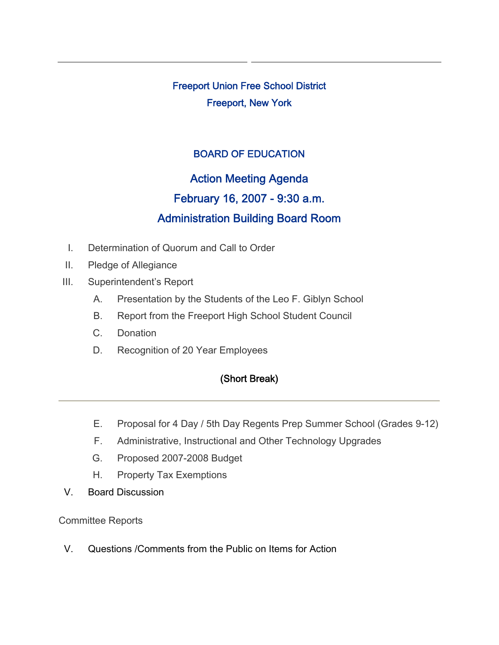Freeport Union Free School District Freeport, New York

## BOARD OF EDUCATION

# Action Meeting Agenda February 16, 2007 - 9:30 a.m. Administration Building Board Room

- I. Determination of Quorum and Call to Order
- II. Pledge of Allegiance
- III. Superintendent's Report
	- A. Presentation by the Students of the Leo F. Giblyn School
	- B. Report from the Freeport High School Student Council
	- C. Donation
	- D. Recognition of 20 Year Employees

## (Short Break)

- E. Proposal for 4 Day / 5th Day Regents Prep Summer School (Grades 9-12)
- F. Administrative, Instructional and Other Technology Upgrades
- G. Proposed 2007-2008 Budget
- H. Property Tax Exemptions
- V. Board Discussion

Committee Reports

V. Questions /Comments from the Public on Items for Action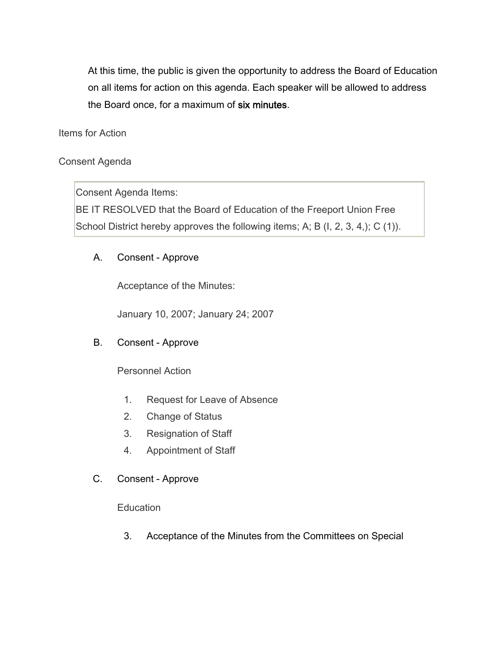At this time, the public is given the opportunity to address the Board of Education on all items for action on this agenda. Each speaker will be allowed to address the Board once, for a maximum of six minutes.

Items for Action

## Consent Agenda

Consent Agenda Items:

BE IT RESOLVED that the Board of Education of the Freeport Union Free School District hereby approves the following items; A; B (I, 2, 3, 4,); C (1)).

## A. Consent - Approve

Acceptance of the Minutes:

January 10, 2007; January 24; 2007

## B. Consent - Approve

Personnel Action

- 1. Request for Leave of Absence
- 2. Change of Status
- 3. Resignation of Staff
- 4. Appointment of Staff
- C. Consent Approve

**Education** 

3. Acceptance of the Minutes from the Committees on Special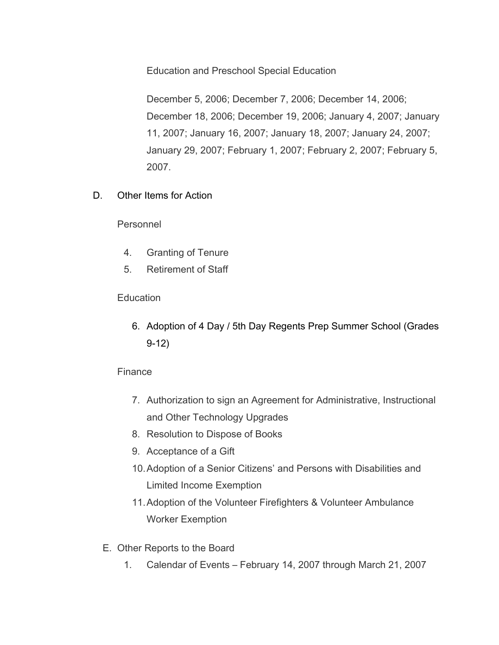Education and Preschool Special Education

December 5, 2006; December 7, 2006; December 14, 2006; December 18, 2006; December 19, 2006; January 4, 2007; January 11, 2007; January 16, 2007; January 18, 2007; January 24, 2007; January 29, 2007; February 1, 2007; February 2, 2007; February 5, 2007.

D. Other Items for Action

Personnel

- 4. Granting of Tenure
- 5. Retirement of Staff

#### **Education**

6. Adoption of 4 Day / 5th Day Regents Prep Summer School (Grades 9-12)

## Finance

- 7. Authorization to sign an Agreement for Administrative, Instructional and Other Technology Upgrades
- 8. Resolution to Dispose of Books
- 9. Acceptance of a Gift
- 10.Adoption of a Senior Citizens' and Persons with Disabilities and Limited Income Exemption
- 11.Adoption of the Volunteer Firefighters & Volunteer Ambulance Worker Exemption
- E. Other Reports to the Board
	- 1. Calendar of Events February 14, 2007 through March 21, 2007